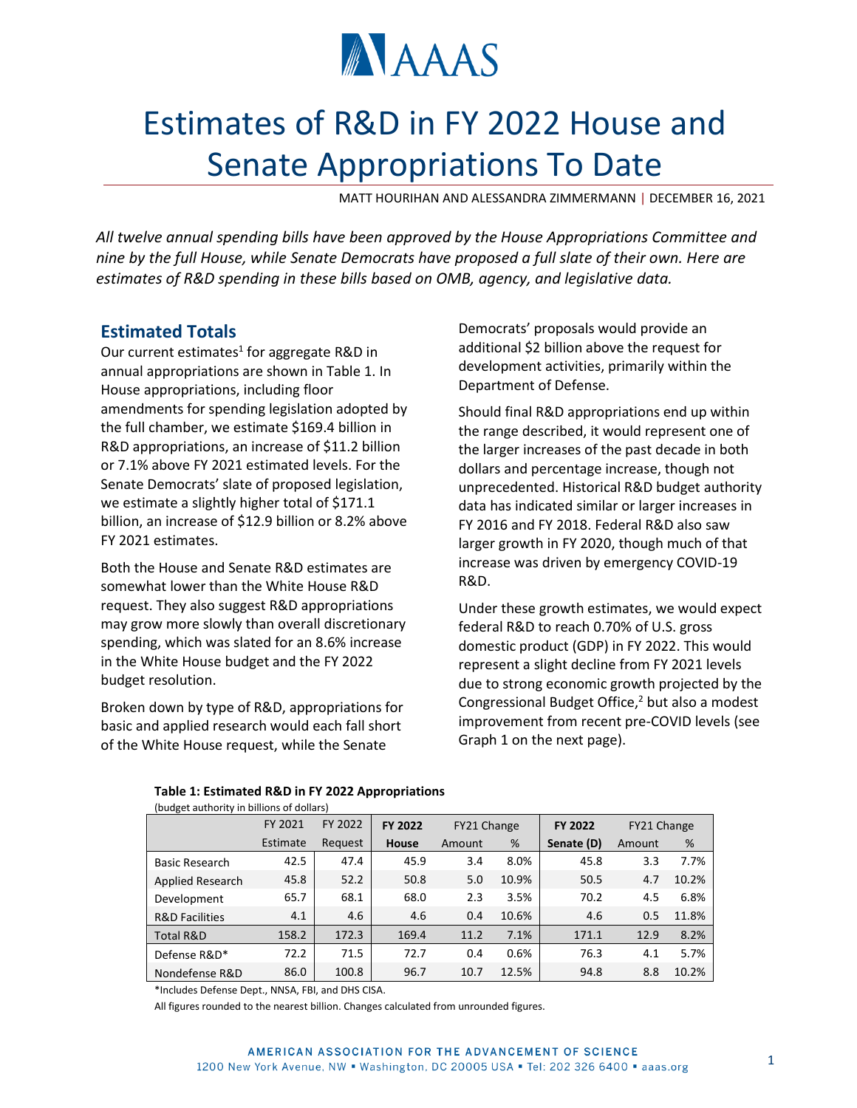

# Estimates of R&D in FY 2022 House and Senate Appropriations To Date

MATT HOURIHAN AND ALESSANDRA ZIMMERMANN | DECEMBER 16, 2021

*All twelve annual spending bills have been approved by the House Appropriations Committee and nine by the full House, while Senate Democrats have proposed a full slate of their own. Here are estimates of R&D spending in these bills based on OMB, agency, and legislative data.*

# **Estimated Totals**

Our current estimates<sup>1</sup> for aggregate R&D in annual appropriations are shown in Table 1. In House appropriations, including floor amendments for spending legislation adopted by the full chamber, we estimate \$169.4 billion in R&D appropriations, an increase of \$11.2 billion or 7.1% above FY 2021 estimated levels. For the Senate Democrats' slate of proposed legislation, we estimate a slightly higher total of \$171.1 billion, an increase of \$12.9 billion or 8.2% above FY 2021 estimates.

Both the House and Senate R&D estimates are somewhat lower than the White House R&D request. They also suggest R&D appropriations may grow more slowly than overall discretionary spending, which was slated for an 8.6% increase in the White House budget and the FY 2022 budget resolution.

Broken down by type of R&D, appropriations for basic and applied research would each fall short of the White House request, while the Senate

Democrats' proposals would provide an additional \$2 billion above the request for development activities, primarily within the Department of Defense.

Should final R&D appropriations end up within the range described, it would represent one of the larger increases of the past decade in both dollars and percentage increase, though not unprecedented. Historical R&D budget authority data has indicated similar or larger increases in FY 2016 and FY 2018. Federal R&D also saw larger growth in FY 2020, though much of that increase was driven by emergency COVID-19 R&D.

Under these growth estimates, we would expect federal R&D to reach 0.70% of U.S. gross domestic product (GDP) in FY 2022. This would represent a slight decline from FY 2021 levels due to strong economic growth projected by the Congressional Budget Office,<sup>2</sup> but also a modest improvement from recent pre-COVID levels (see Graph 1 on the next page).

| (budget authority in billions of dollars) |          |         |                |             |       |         |             |       |  |  |
|-------------------------------------------|----------|---------|----------------|-------------|-------|---------|-------------|-------|--|--|
|                                           | FY 2021  | FY 2022 | <b>FY 2022</b> | FY21 Change |       | FY 2022 | FY21 Change |       |  |  |
|                                           | Estimate | Request | <b>House</b>   | Amount      | %     |         | Amount      | %     |  |  |
| <b>Basic Research</b>                     | 42.5     | 47.4    | 45.9           | 3.4         | 8.0%  | 45.8    | 3.3         | 7.7%  |  |  |
| Applied Research                          | 45.8     | 52.2    | 50.8           | 5.0         | 10.9% | 50.5    | 4.7         | 10.2% |  |  |
| Development                               | 65.7     | 68.1    | 68.0           | 2.3         | 3.5%  | 70.2    | 4.5         | 6.8%  |  |  |
| <b>R&amp;D Facilities</b>                 | 4.1      | 4.6     | 4.6            | 0.4         | 10.6% | 4.6     | 0.5         | 11.8% |  |  |
| Total R&D                                 | 158.2    | 172.3   | 169.4          | 11.2        | 7.1%  | 171.1   | 12.9        | 8.2%  |  |  |
| Defense R&D*                              | 72.2     | 71.5    | 72.7           | 0.4         | 0.6%  | 76.3    | 4.1         | 5.7%  |  |  |
| Nondefense R&D                            | 86.0     | 100.8   | 96.7           | 10.7        | 12.5% | 94.8    | 8.8         | 10.2% |  |  |

**Table 1: Estimated R&D in FY 2022 Appropriations**

\*Includes Defense Dept., NNSA, FBI, and DHS CISA.

All figures rounded to the nearest billion. Changes calculated from unrounded figures.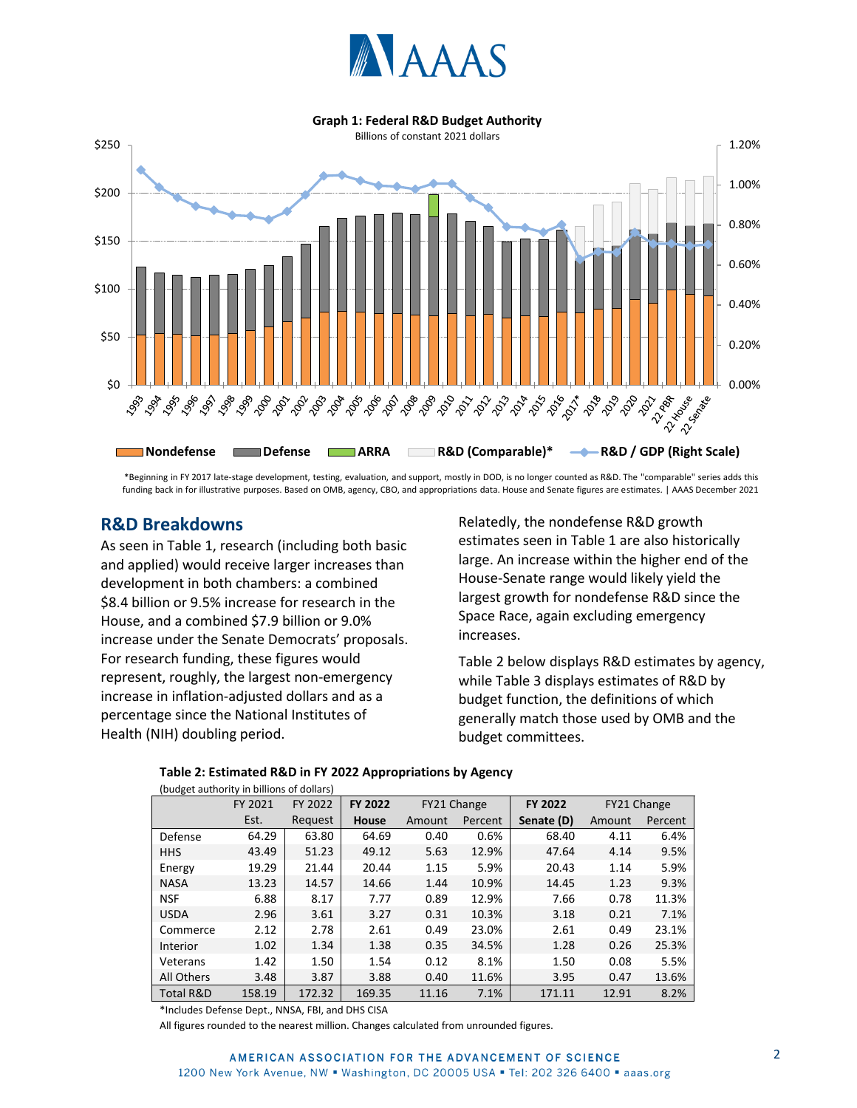

#### **Graph 1: Federal R&D Budget Authority**



\*Beginning in FY 2017 late-stage development, testing, evaluation, and support, mostly in DOD, is no longer counted as R&D. The "comparable" series adds this funding back in for illustrative purposes. Based on OMB, agency, CBO, and appropriations data. House and Senate figures are estimates. | AAAS December 2021

## **R&D Breakdowns**

As seen in Table 1, research (including both basic and applied) would receive larger increases than development in both chambers: a combined \$8.4 billion or 9.5% increase for research in the House, and a combined \$7.9 billion or 9.0% increase under the Senate Democrats' proposals. For research funding, these figures would represent, roughly, the largest non-emergency increase in inflation-adjusted dollars and as a percentage since the National Institutes of Health (NIH) doubling period.

Relatedly, the nondefense R&D growth estimates seen in Table 1 are also historically large. An increase within the higher end of the House-Senate range would likely yield the largest growth for nondefense R&D since the Space Race, again excluding emergency increases.

Table 2 below displays R&D estimates by agency, while Table 3 displays estimates of R&D by budget function, the definitions of which generally match those used by OMB and the budget committees.

| (budget authority in billions of dollars) |         |         |                |        |             |                |        |             |  |  |
|-------------------------------------------|---------|---------|----------------|--------|-------------|----------------|--------|-------------|--|--|
|                                           | FY 2021 | FY 2022 | <b>FY 2022</b> |        | FY21 Change | <b>FY 2022</b> |        | FY21 Change |  |  |
|                                           | Est.    | Request | House          | Amount | Percent     | Senate (D)     | Amount | Percent     |  |  |
| Defense                                   | 64.29   | 63.80   | 64.69          | 0.40   | 0.6%        | 68.40          | 4.11   | 6.4%        |  |  |
| <b>HHS</b>                                | 43.49   | 51.23   | 49.12          | 5.63   | 12.9%       | 47.64          | 4.14   | 9.5%        |  |  |
| Energy                                    | 19.29   | 21.44   | 20.44          | 1.15   | 5.9%        | 20.43          | 1.14   | 5.9%        |  |  |
| <b>NASA</b>                               | 13.23   | 14.57   | 14.66          | 1.44   | 10.9%       | 14.45          | 1.23   | 9.3%        |  |  |
| <b>NSF</b>                                | 6.88    | 8.17    | 7.77           | 0.89   | 12.9%       | 7.66           | 0.78   | 11.3%       |  |  |
| <b>USDA</b>                               | 2.96    | 3.61    | 3.27           | 0.31   | 10.3%       | 3.18           | 0.21   | 7.1%        |  |  |
| Commerce                                  | 2.12    | 2.78    | 2.61           | 0.49   | 23.0%       | 2.61           | 0.49   | 23.1%       |  |  |
| Interior                                  | 1.02    | 1.34    | 1.38           | 0.35   | 34.5%       | 1.28           | 0.26   | 25.3%       |  |  |
| Veterans                                  | 1.42    | 1.50    | 1.54           | 0.12   | 8.1%        | 1.50           | 0.08   | 5.5%        |  |  |
| All Others                                | 3.48    | 3.87    | 3.88           | 0.40   | 11.6%       | 3.95           | 0.47   | 13.6%       |  |  |
| <b>Total R&amp;D</b>                      | 158.19  | 172.32  | 169.35         | 11.16  | 7.1%        | 171.11         | 12.91  | 8.2%        |  |  |

## **Table 2: Estimated R&D in FY 2022 Appropriations by Agency**

\*Includes Defense Dept., NNSA, FBI, and DHS CISA

All figures rounded to the nearest million. Changes calculated from unrounded figures.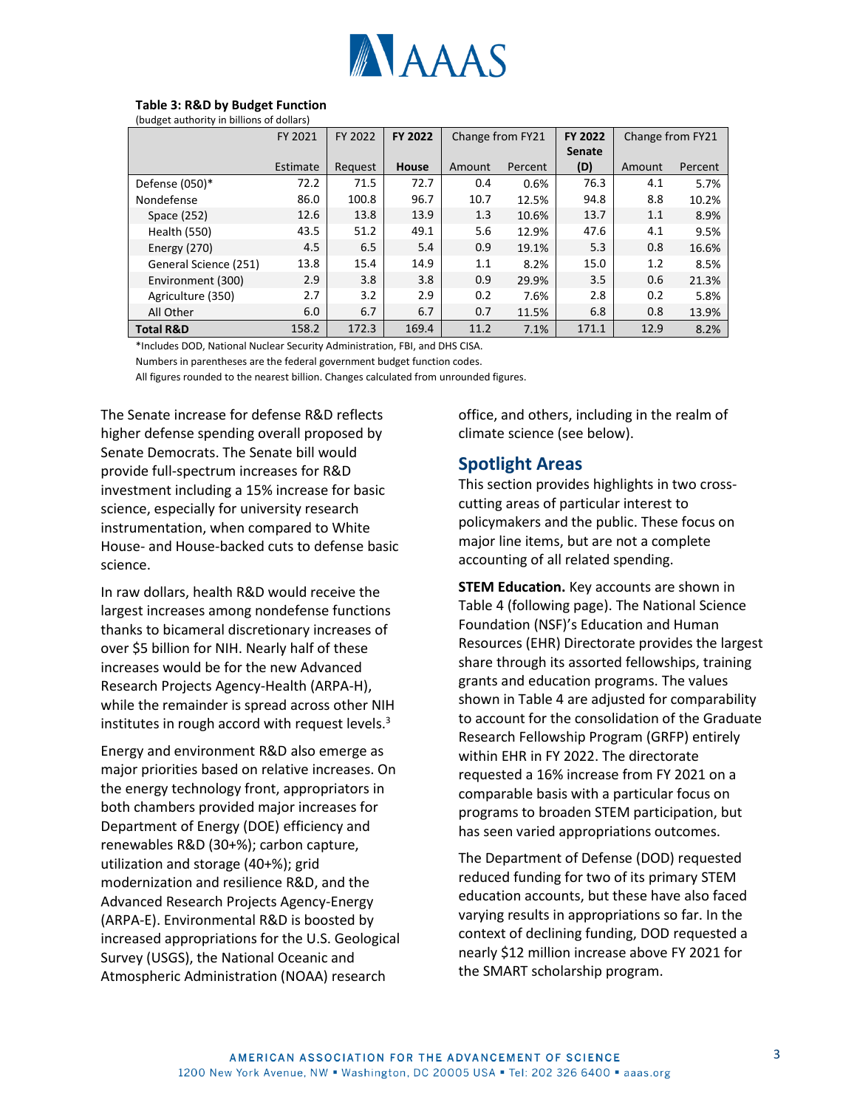

### **Table 3: R&D by Budget Function**

(budget authority in billions of dollars)

|                       | FY 2021  | FY 2022 | <b>FY 2022</b> | Change from FY21 |         | FY 2022       | Change from FY21 |         |
|-----------------------|----------|---------|----------------|------------------|---------|---------------|------------------|---------|
|                       |          |         |                |                  |         | <b>Senate</b> |                  |         |
|                       | Estimate | Request | <b>House</b>   | Amount           | Percent | (D)           | Amount           | Percent |
| Defense (050)*        | 72.2     | 71.5    | 72.7           | 0.4              | 0.6%    | 76.3          | 4.1              | 5.7%    |
| Nondefense            | 86.0     | 100.8   | 96.7           | 10.7             | 12.5%   | 94.8          | 8.8              | 10.2%   |
| Space (252)           | 12.6     | 13.8    | 13.9           | 1.3              | 10.6%   | 13.7          | 1.1              | 8.9%    |
| Health (550)          | 43.5     | 51.2    | 49.1           | 5.6              | 12.9%   | 47.6          | 4.1              | 9.5%    |
| <b>Energy (270)</b>   | 4.5      | 6.5     | 5.4            | 0.9              | 19.1%   | 5.3           | 0.8              | 16.6%   |
| General Science (251) | 13.8     | 15.4    | 14.9           | 1.1              | 8.2%    | 15.0          | 1.2              | 8.5%    |
| Environment (300)     | 2.9      | 3.8     | 3.8            | 0.9              | 29.9%   | 3.5           | 0.6              | 21.3%   |
| Agriculture (350)     | 2.7      | 3.2     | 2.9            | 0.2              | 7.6%    | 2.8           | 0.2              | 5.8%    |
| All Other             | 6.0      | 6.7     | 6.7            | 0.7              | 11.5%   | 6.8           | 0.8              | 13.9%   |
| <b>Total R&amp;D</b>  | 158.2    | 172.3   | 169.4          | 11.2             | 7.1%    | 171.1         | 12.9             | 8.2%    |

\*Includes DOD, National Nuclear Security Administration, FBI, and DHS CISA.

Numbers in parentheses are the federal government budget function codes.

All figures rounded to the nearest billion. Changes calculated from unrounded figures.

The Senate increase for defense R&D reflects higher defense spending overall proposed by Senate Democrats. The Senate bill would provide full-spectrum increases for R&D investment including a 15% increase for basic science, especially for university research instrumentation, when compared to White House- and House-backed cuts to defense basic science.

In raw dollars, health R&D would receive the largest increases among nondefense functions thanks to bicameral discretionary increases of over \$5 billion for NIH. Nearly half of these increases would be for the new Advanced Research Projects Agency-Health (ARPA-H), while the remainder is spread across other NIH institutes in rough accord with request levels. $3$ 

Energy and environment R&D also emerge as major priorities based on relative increases. On the energy technology front, appropriators in both chambers provided major increases for Department of Energy (DOE) efficiency and renewables R&D (30+%); carbon capture, utilization and storage (40+%); grid modernization and resilience R&D, and the Advanced Research Projects Agency-Energy (ARPA-E). Environmental R&D is boosted by increased appropriations for the U.S. Geological Survey (USGS), the National Oceanic and Atmospheric Administration (NOAA) research

office, and others, including in the realm of climate science (see below).

## **Spotlight Areas**

This section provides highlights in two crosscutting areas of particular interest to policymakers and the public. These focus on major line items, but are not a complete accounting of all related spending.

**STEM Education.** Key accounts are shown in Table 4 (following page). The National Science Foundation (NSF)'s Education and Human Resources (EHR) Directorate provides the largest share through its assorted fellowships, training grants and education programs. The values shown in Table 4 are adjusted for comparability to account for the consolidation of the Graduate Research Fellowship Program (GRFP) entirely within EHR in FY 2022. The directorate requested a 16% increase from FY 2021 on a comparable basis with a particular focus on programs to broaden STEM participation, but has seen varied appropriations outcomes.

The Department of Defense (DOD) requested reduced funding for two of its primary STEM education accounts, but these have also faced varying results in appropriations so far. In the context of declining funding, DOD requested a nearly \$12 million increase above FY 2021 for the SMART scholarship program.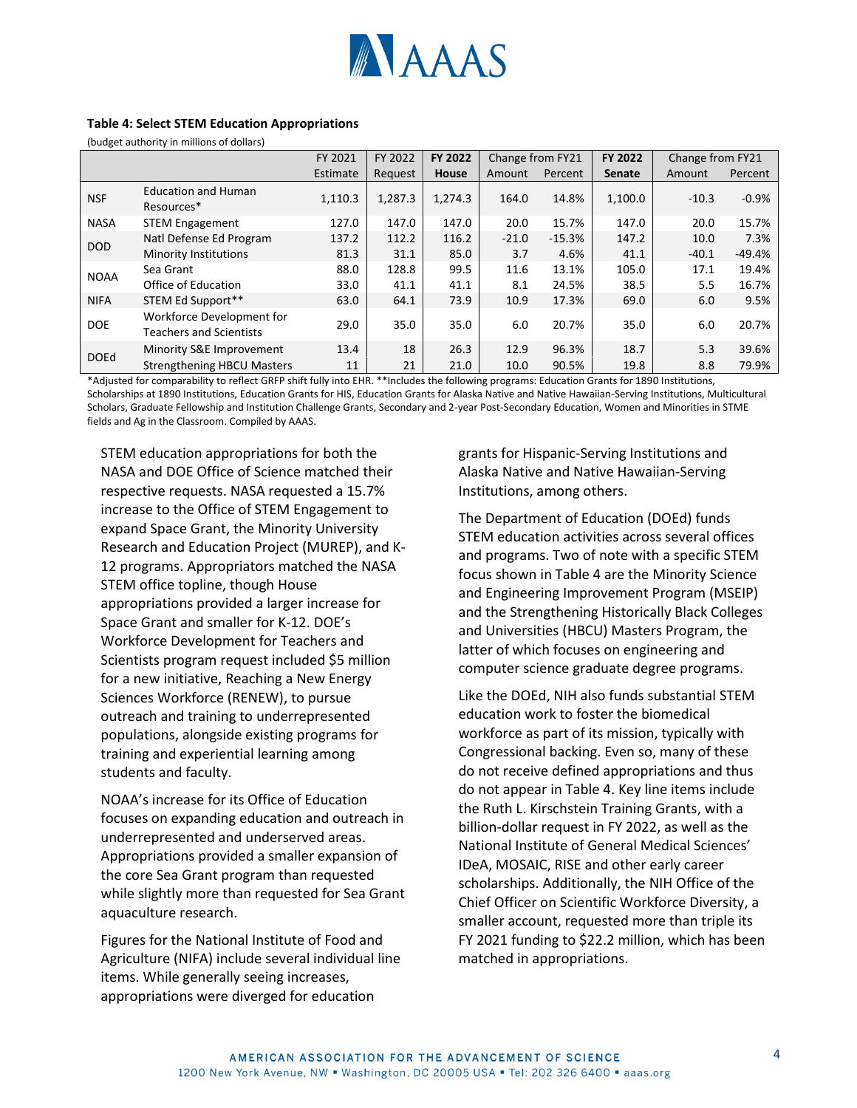

#### **Table 4: Select STEM Education Appropriations**

(budget authority in millions of dollars)

|             |                                                             | FY 2021  | FY 2022 | <b>FY 2022</b> | Change from FY21 |          | FY 2022       | Change from FY21 |          |
|-------------|-------------------------------------------------------------|----------|---------|----------------|------------------|----------|---------------|------------------|----------|
|             |                                                             | Estimate | Request | House          | Amount           | Percent  | <b>Senate</b> | Amount           | Percent  |
| <b>NSF</b>  | <b>Education and Human</b><br>Resources*                    | 1,110.3  | 1,287.3 | 1,274.3        | 164.0            | 14.8%    | 1,100.0       | $-10.3$          | $-0.9%$  |
| <b>NASA</b> | <b>STEM Engagement</b>                                      | 127.0    | 147.0   | 147.0          | 20.0             | 15.7%    | 147.0         | 20.0             | 15.7%    |
|             | Natl Defense Ed Program                                     | 137.2    | 112.2   | 116.2          | $-21.0$          | $-15.3%$ | 147.2         | 10.0             | 7.3%     |
| <b>DOD</b>  | <b>Minority Institutions</b>                                | 81.3     | 31.1    | 85.0           | 3.7              | 4.6%     | 41.1          | $-40.1$          | $-49.4%$ |
|             | Sea Grant                                                   | 88.0     | 128.8   | 99.5           | 11.6             | 13.1%    | 105.0         | 17.1             | 19.4%    |
| <b>NOAA</b> | Office of Education                                         | 33.0     | 41.1    | 41.1           | 8.1              | 24.5%    | 38.5          | 5.5              | 16.7%    |
| <b>NIFA</b> | STEM Ed Support**                                           | 63.0     | 64.1    | 73.9           | 10.9             | 17.3%    | 69.0          | 6.0              | 9.5%     |
| <b>DOE</b>  | Workforce Development for<br><b>Teachers and Scientists</b> | 29.0     | 35.0    | 35.0           | 6.0              | 20.7%    | 35.0          | 6.0              | 20.7%    |
|             | Minority S&E Improvement                                    | 13.4     | 18      | 26.3           | 12.9             | 96.3%    | 18.7          | 5.3              | 39.6%    |
| <b>DOEd</b> | <b>Strengthening HBCU Masters</b>                           | 11       | 21      | 21.0           | 10.0             | 90.5%    | 19.8          | 8.8              | 79.9%    |

\*Adjusted for comparability to reflect GRFP shift fully into EHR. \*\*Includes the following programs: Education Grants for 1890 Institutions, Scholarships at 1890 Institutions, Education Grants for HIS, Education Grants for Alaska Native and Native Hawaiian-Serving Institutions, Multicultural Scholars, Graduate Fellowship and Institution Challenge Grants, Secondary and 2-year Post-Secondary Education, Women and Minorities in STME fields and Ag in the Classroom. Compiled by AAAS.

STEM education appropriations for both the NASA and DOE Office of Science matched their respective requests. NASA requested a 15.7% increase to the Office of STEM Engagement to expand Space Grant, the Minority University Research and Education Project (MUREP), and K-12 programs. Appropriators matched the NASA STEM office topline, though House appropriations provided a larger increase for Space Grant and smaller for K-12. DOE's Workforce Development for Teachers and Scientists program request included \$5 million for a new initiative, Reaching a New Energy Sciences Workforce (RENEW), to pursue outreach and training to underrepresented populations, alongside existing programs for training and experiential learning among students and faculty.

NOAA's increase for its Office of Education focuses on expanding education and outreach in underrepresented and underserved areas. Appropriations provided a smaller expansion of the core Sea Grant program than requested while slightly more than requested for Sea Grant aquaculture research.

Figures for the National Institute of Food and Agriculture (NIFA) include several individual line items. While generally seeing increases, appropriations were diverged for education

grants for Hispanic-Serving Institutions and Alaska Native and Native Hawaiian-Serving Institutions, among others.

The Department of Education (DOEd) funds STEM education activities across several offices and programs. Two of note with a specific STEM focus shown in Table 4 are the Minority Science and Engineering Improvement Program (MSEIP) and the Strengthening Historically Black Colleges and Universities (HBCU) Masters Program, the latter of which focuses on engineering and computer science graduate degree programs.

Like the DOEd, NIH also funds substantial STEM education work to foster the biomedical workforce as part of its mission, typically with Congressional backing. Even so, many of these do not receive defined appropriations and thus do not appear in Table 4. Key line items include the Ruth L. Kirschstein Training Grants, with a billion-dollar request in FY 2022, as well as the National Institute of General Medical Sciences' IDeA, MOSAIC, RISE and other early career scholarships. Additionally, the NIH Office of the Chief Officer on Scientific Workforce Diversity, a smaller account, requested more than triple its FY 2021 funding to \$22.2 million, which has been matched in appropriations.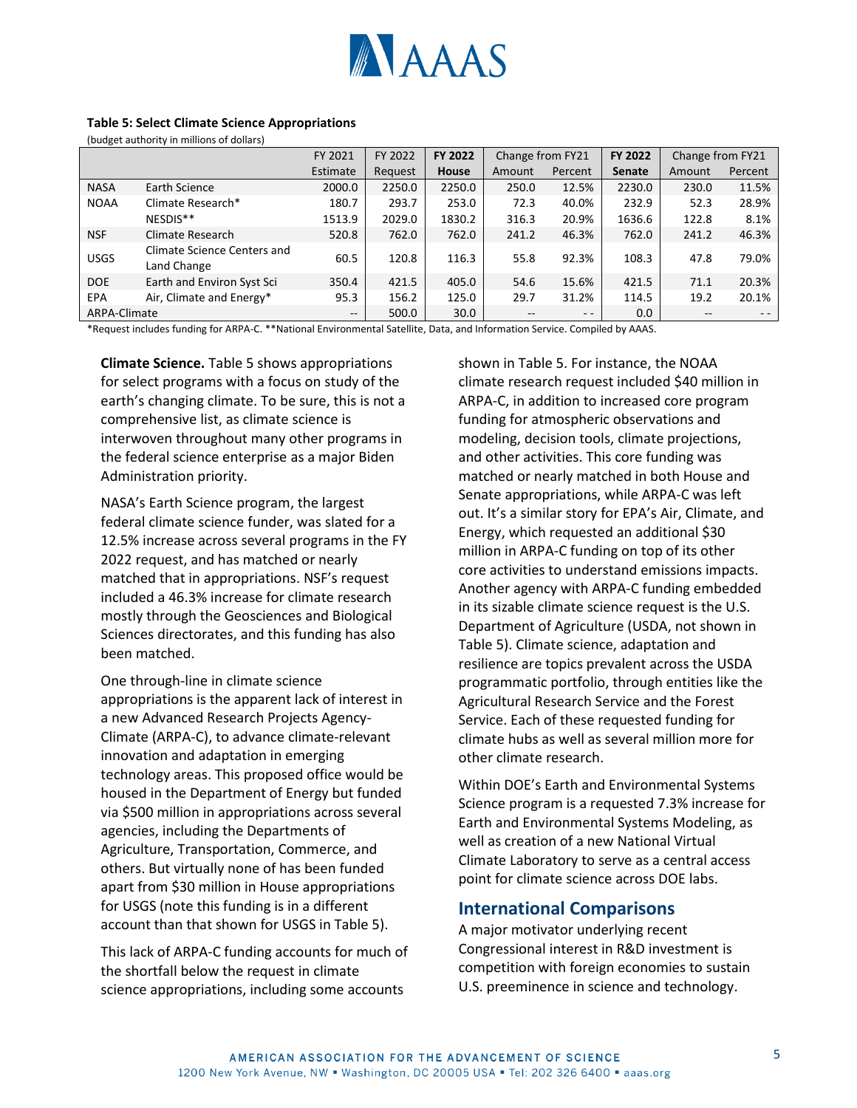

#### **Table 5: Select Climate Science Appropriations**

(budget authority in millions of dollars)

|              |                                            | FY 2021  | FY 2022 | FY 2022 |        | Change from FY21 |               | Change from FY21 |         |
|--------------|--------------------------------------------|----------|---------|---------|--------|------------------|---------------|------------------|---------|
|              |                                            | Estimate | Request | House   | Amount | Percent          | <b>Senate</b> | Amount           | Percent |
| <b>NASA</b>  | Earth Science                              | 2000.0   | 2250.0  | 2250.0  | 250.0  | 12.5%            | 2230.0        | 230.0            | 11.5%   |
| <b>NOAA</b>  | Climate Research*                          | 180.7    | 293.7   | 253.0   | 72.3   | 40.0%            | 232.9         | 52.3             | 28.9%   |
|              | NESDIS**                                   | 1513.9   | 2029.0  | 1830.2  | 316.3  | 20.9%            | 1636.6        | 122.8            | 8.1%    |
| <b>NSF</b>   | Climate Research                           | 520.8    | 762.0   | 762.0   | 241.2  | 46.3%            | 762.0         | 241.2            | 46.3%   |
| <b>USGS</b>  | Climate Science Centers and<br>Land Change | 60.5     | 120.8   | 116.3   | 55.8   | 92.3%            | 108.3         | 47.8             | 79.0%   |
| <b>DOE</b>   | Earth and Environ Syst Sci                 | 350.4    | 421.5   | 405.0   | 54.6   | 15.6%            | 421.5         | 71.1             | 20.3%   |
| EPA          | Air, Climate and Energy*                   | 95.3     | 156.2   | 125.0   | 29.7   | 31.2%            | 114.5         | 19.2             | 20.1%   |
| ARPA-Climate |                                            | $- -$    | 500.0   | 30.0    | --     | $ -$             | 0.0           |                  | $ -$    |

\*Request includes funding for ARPA-C. \*\*National Environmental Satellite, Data, and Information Service. Compiled by AAAS.

**Climate Science.** Table 5 shows appropriations for select programs with a focus on study of the earth's changing climate. To be sure, this is not a comprehensive list, as climate science is interwoven throughout many other programs in the federal science enterprise as a major Biden Administration priority.

NASA's Earth Science program, the largest federal climate science funder, was slated for a 12.5% increase across several programs in the FY 2022 request, and has matched or nearly matched that in appropriations. NSF's request included a 46.3% increase for climate research mostly through the Geosciences and Biological Sciences directorates, and this funding has also been matched.

One through-line in climate science appropriations is the apparent lack of interest in a new Advanced Research Projects Agency-Climate (ARPA-C), to advance climate-relevant innovation and adaptation in emerging technology areas. This proposed office would be housed in the Department of Energy but funded via \$500 million in appropriations across several agencies, including the Departments of Agriculture, Transportation, Commerce, and others. But virtually none of has been funded apart from \$30 million in House appropriations for USGS (note this funding is in a different account than that shown for USGS in Table 5).

This lack of ARPA-C funding accounts for much of the shortfall below the request in climate science appropriations, including some accounts

shown in Table 5. For instance, the NOAA climate research request included \$40 million in ARPA-C, in addition to increased core program funding for atmospheric observations and modeling, decision tools, climate projections, and other activities. This core funding was matched or nearly matched in both House and Senate appropriations, while ARPA-C was left out. It's a similar story for EPA's Air, Climate, and Energy, which requested an additional \$30 million in ARPA-C funding on top of its other core activities to understand emissions impacts. Another agency with ARPA-C funding embedded in its sizable climate science request is the U.S. Department of Agriculture (USDA, not shown in Table 5). Climate science, adaptation and resilience are topics prevalent across the USDA programmatic portfolio, through entities like the Agricultural Research Service and the Forest Service. Each of these requested funding for climate hubs as well as several million more for other climate research.

Within DOE's Earth and Environmental Systems Science program is a requested 7.3% increase for Earth and Environmental Systems Modeling, as well as creation of a new National Virtual Climate Laboratory to serve as a central access point for climate science across DOE labs.

## **International Comparisons**

A major motivator underlying recent Congressional interest in R&D investment is competition with foreign economies to sustain U.S. preeminence in science and technology.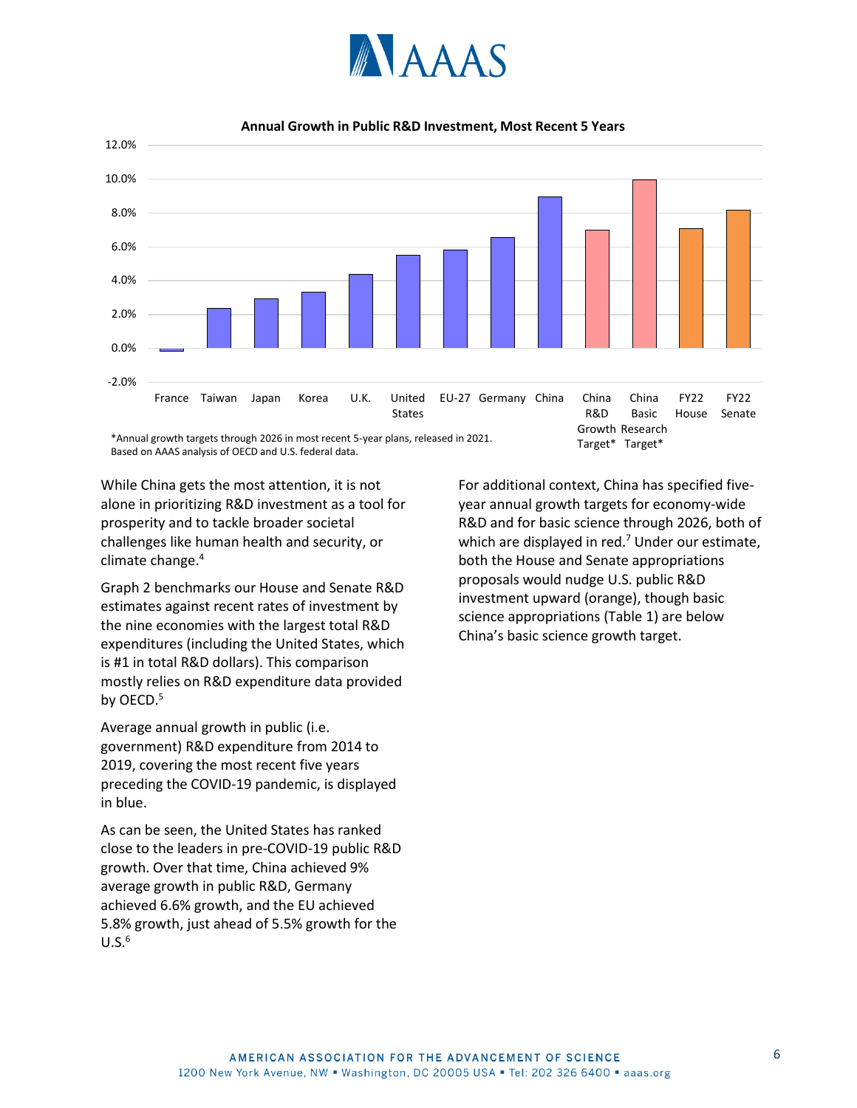



**Annual Growth in Public R&D Investment, Most Recent 5 Years**

\*Annual growth targets through 2026 in most recent 5-year plans, released in 2021. Based on AAAS analysis of OECD and U.S. federal data.

While China gets the most attention, it is not alone in prioritizing R&D investment as a tool for prosperity and to tackle broader societal challenges like human health and security, or climate change.<sup>4</sup>

Graph 2 benchmarks our House and Senate R&D estimates against recent rates of investment by the nine economies with the largest total R&D expenditures (including the United States, which is #1 in total R&D dollars). This comparison mostly relies on R&D expenditure data provided by OECD.<sup>5</sup>

Average annual growth in public (i.e. government) R&D expenditure from 2014 to 2019, covering the most recent five years preceding the COVID-19 pandemic, is displayed in blue.

As can be seen, the United States has ranked close to the leaders in pre-COVID-19 public R&D growth. Over that time, China achieved 9% average growth in public R&D, Germany achieved 6.6% growth, and the EU achieved 5.8% growth, just ahead of 5.5% growth for the  $U.S.<sup>6</sup>$ 

For additional context, China has specified fiveyear annual growth targets for economy-wide R&D and for basic science through 2026, both of which are displayed in red. $<sup>7</sup>$  Under our estimate,</sup> both the House and Senate appropriations proposals would nudge U.S. public R&D investment upward (orange), though basic science appropriations (Table 1) are below China's basic science growth target.

Target\* Target\*